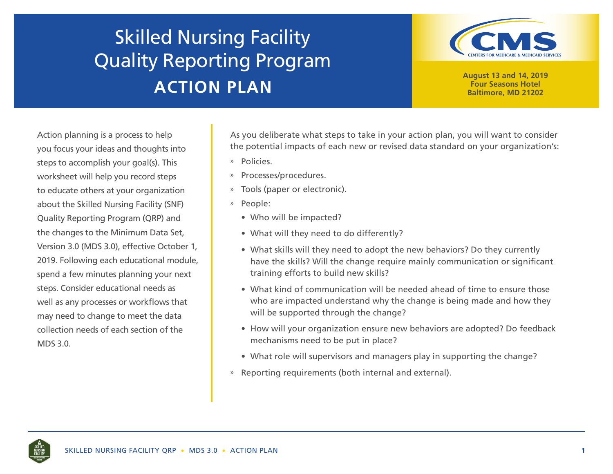## Skilled Nursing Facility Quality Reporting Program **ACTION PLAN**



**August 13 and 14, 2019 Four Seasons Hotel Baltimore, MD 21202**

Action planning is a process to help you focus your ideas and thoughts into steps to accomplish your goal(s). This worksheet will help you record steps to educate others at your organization about the Skilled Nursing Facility (SNF) Quality Reporting Program (QRP) and the changes to the Minimum Data Set, Version 3.0 (MDS 3.0), effective October 1, 2019. Following each educational module, spend a few minutes planning your next steps. Consider educational needs as well as any processes or workflows that may need to change to meet the data collection needs of each section of the MDS 3.0.

As you deliberate what steps to take in your action plan, you will want to consider the potential impacts of each new or revised data standard on your organization's:

- » Policies.
- » Processes/procedures.
- » Tools (paper or electronic).
- » People:
	- Who will be impacted?
	- What will they need to do differently?
	- What skills will they need to adopt the new behaviors? Do they currently have the skills? Will the change require mainly communication or significant training efforts to build new skills?
	- What kind of communication will be needed ahead of time to ensure those who are impacted understand why the change is being made and how they will be supported through the change?
	- How will your organization ensure new behaviors are adopted? Do feedback mechanisms need to be put in place?
	- What role will supervisors and managers play in supporting the change?
- » Reporting requirements (both internal and external).

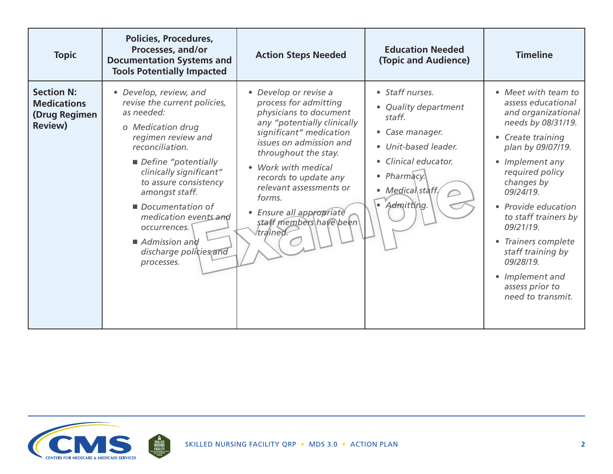| <b>Topic</b>                                                               | <b>Policies, Procedures,</b><br>Processes, and/or<br><b>Documentation Systems and</b><br><b>Tools Potentially Impacted</b>                                                                                                                                                                                                                                           | <b>Action Steps Needed</b>                                                                                                                                                                                                                                                                                                                | <b>Education Needed</b><br>(Topic and Audience)                                                                                                                                 | <b>Timeline</b>                                                                                                                                                                                                                                                                                                                                                                  |
|----------------------------------------------------------------------------|----------------------------------------------------------------------------------------------------------------------------------------------------------------------------------------------------------------------------------------------------------------------------------------------------------------------------------------------------------------------|-------------------------------------------------------------------------------------------------------------------------------------------------------------------------------------------------------------------------------------------------------------------------------------------------------------------------------------------|---------------------------------------------------------------------------------------------------------------------------------------------------------------------------------|----------------------------------------------------------------------------------------------------------------------------------------------------------------------------------------------------------------------------------------------------------------------------------------------------------------------------------------------------------------------------------|
| <b>Section N:</b><br><b>Medications</b><br>(Drug Regimen<br><b>Review)</b> | • Develop, review, and<br>revise the current policies,<br>as needed:<br>o Medication drug<br>regimen review and<br>reconciliation.<br>Define "potentially<br>clinically significant"<br>to assure consistency<br>amongst staff.<br>Documentation of<br>medication events and<br>occurrences.<br>$\blacksquare$ Admission and<br>discharge policies and<br>processes. | • Develop or revise a<br>process for admitting<br>physicians to document<br>any "potentially clinically<br>significant" medication<br>issues on admission and<br>throughout the stay.<br>Work with medical<br>records to update any<br>relevant assessments or<br>forms.<br>Ensure all appropriate<br>staff members have been<br>trained. | • Staff nurses.<br>• Quality department<br>staff.<br>• Case manager.<br>• Unit-based leader.<br>• Clinical educator.<br>• Pharmacy.<br>• Medical staff,<br>$\bullet$ Admitting. | • Meet with team to<br>assess educational<br>and organizational<br>needs by 08/31/19.<br>• Create training<br>plan by 09/07/19.<br>• Implement any<br>required policy<br>changes by<br>09/24/19.<br>• Provide education<br>to staff trainers by<br>09/21/19.<br>• Trainers complete<br>staff training by<br>09/28/19.<br>• Implement and<br>assess prior to<br>need to transmit. |

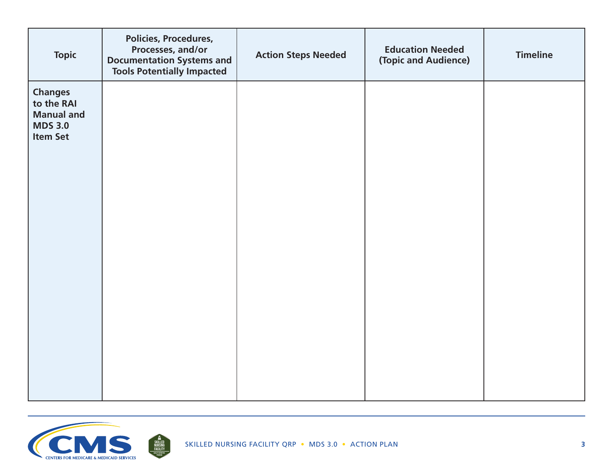| <b>Topic</b>                                                                           | Policies, Procedures,<br>Processes, and/or<br><b>Documentation Systems and</b><br><b>Tools Potentially Impacted</b> | <b>Action Steps Needed</b> | <b>Education Needed</b><br>(Topic and Audience) | <b>Timeline</b> |
|----------------------------------------------------------------------------------------|---------------------------------------------------------------------------------------------------------------------|----------------------------|-------------------------------------------------|-----------------|
| <b>Changes</b><br>to the RAI<br><b>Manual and</b><br><b>MDS 3.0</b><br><b>Item Set</b> |                                                                                                                     |                            |                                                 |                 |
|                                                                                        |                                                                                                                     |                            |                                                 |                 |

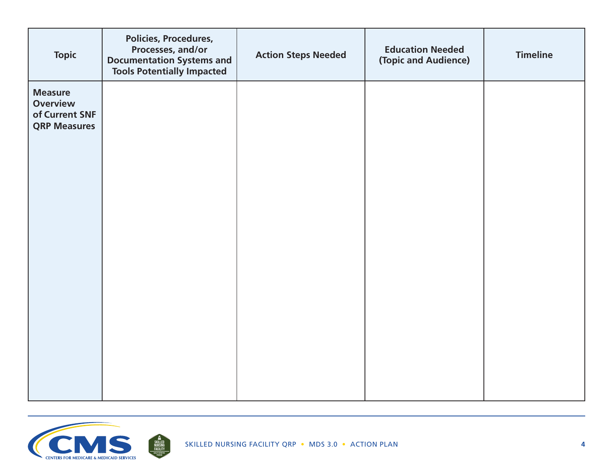| <b>Topic</b>                                                               | <b>Policies, Procedures,</b><br>Processes, and/or<br><b>Documentation Systems and</b><br><b>Tools Potentially Impacted</b> | <b>Action Steps Needed</b> | <b>Education Needed</b><br>(Topic and Audience) | <b>Timeline</b> |
|----------------------------------------------------------------------------|----------------------------------------------------------------------------------------------------------------------------|----------------------------|-------------------------------------------------|-----------------|
| <b>Measure</b><br><b>Overview</b><br>of Current SNF<br><b>QRP Measures</b> |                                                                                                                            |                            |                                                 |                 |
|                                                                            |                                                                                                                            |                            |                                                 |                 |

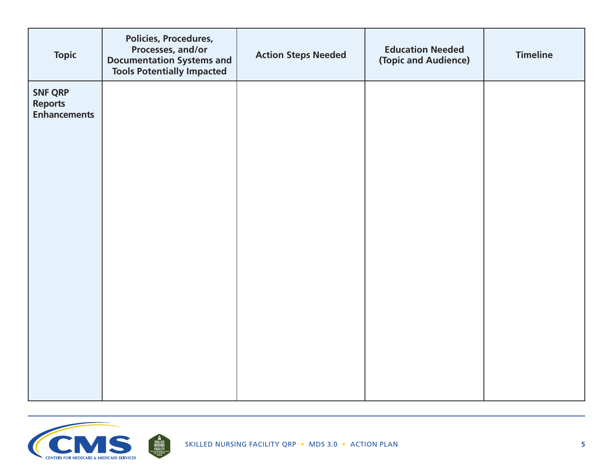| <b>Topic</b>                                            | Policies, Procedures,<br>Processes, and/or<br><b>Documentation Systems and</b><br><b>Tools Potentially Impacted</b> | <b>Action Steps Needed</b> | <b>Education Needed</b><br>(Topic and Audience) | <b>Timeline</b> |
|---------------------------------------------------------|---------------------------------------------------------------------------------------------------------------------|----------------------------|-------------------------------------------------|-----------------|
| <b>SNF QRP</b><br><b>Reports</b><br><b>Enhancements</b> |                                                                                                                     |                            |                                                 |                 |
|                                                         |                                                                                                                     |                            |                                                 |                 |

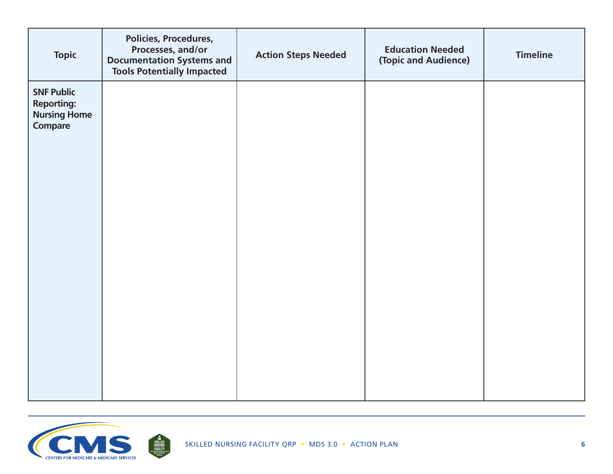| <b>Topic</b>                                                             | Policies, Procedures,<br>Processes, and/or<br><b>Documentation Systems and</b><br><b>Tools Potentially Impacted</b> | <b>Action Steps Needed</b> | <b>Education Needed</b><br>(Topic and Audience) | <b>Timeline</b> |
|--------------------------------------------------------------------------|---------------------------------------------------------------------------------------------------------------------|----------------------------|-------------------------------------------------|-----------------|
| <b>SNF Public</b><br><b>Reporting:</b><br><b>Nursing Home</b><br>Compare |                                                                                                                     |                            |                                                 |                 |
|                                                                          |                                                                                                                     |                            |                                                 |                 |

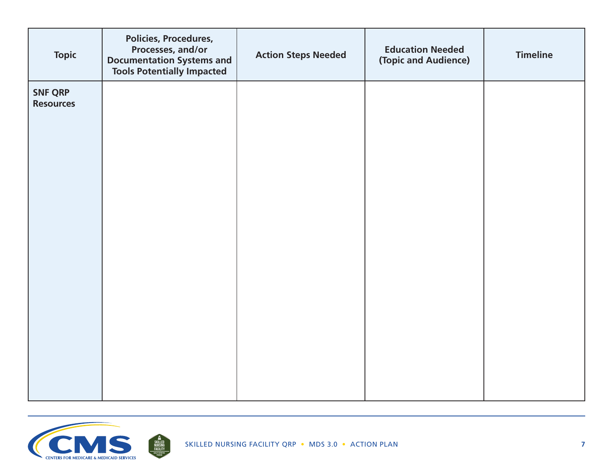| <b>Topic</b>                       | Policies, Procedures,<br>Processes, and/or<br><b>Documentation Systems and</b><br><b>Tools Potentially Impacted</b> | <b>Action Steps Needed</b> | <b>Education Needed</b><br>(Topic and Audience) | <b>Timeline</b> |
|------------------------------------|---------------------------------------------------------------------------------------------------------------------|----------------------------|-------------------------------------------------|-----------------|
| <b>SNF QRP</b><br><b>Resources</b> |                                                                                                                     |                            |                                                 |                 |
|                                    |                                                                                                                     |                            |                                                 |                 |

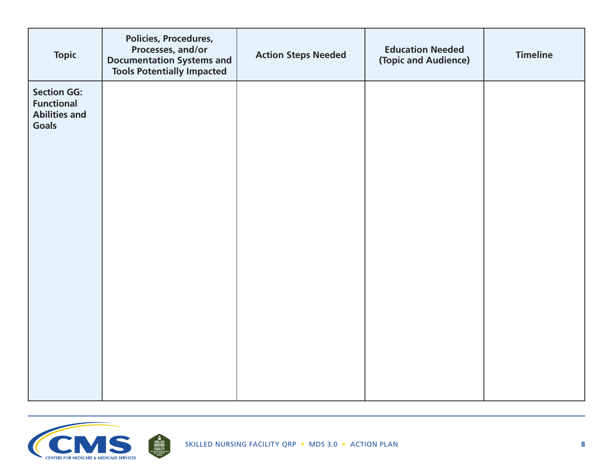| <b>Topic</b>                                                                    | Policies, Procedures,<br>Processes, and/or<br><b>Documentation Systems and</b><br><b>Tools Potentially Impacted</b> | <b>Action Steps Needed</b> | <b>Education Needed</b><br>(Topic and Audience) | <b>Timeline</b> |
|---------------------------------------------------------------------------------|---------------------------------------------------------------------------------------------------------------------|----------------------------|-------------------------------------------------|-----------------|
| <b>Section GG:</b><br><b>Functional</b><br><b>Abilities and</b><br><b>Goals</b> |                                                                                                                     |                            |                                                 |                 |
|                                                                                 |                                                                                                                     |                            |                                                 |                 |

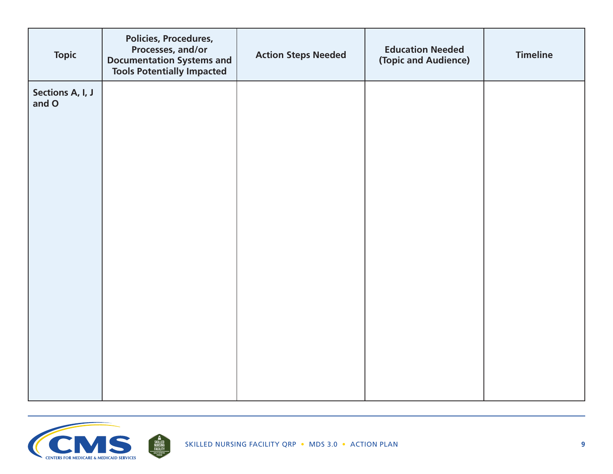| <b>Topic</b>              | <b>Policies, Procedures,</b><br>Processes, and/or<br><b>Documentation Systems and</b><br><b>Tools Potentially Impacted</b> | <b>Action Steps Needed</b> | <b>Education Needed</b><br>(Topic and Audience) | <b>Timeline</b> |
|---------------------------|----------------------------------------------------------------------------------------------------------------------------|----------------------------|-------------------------------------------------|-----------------|
| Sections A, I, J<br>and O |                                                                                                                            |                            |                                                 |                 |
|                           |                                                                                                                            |                            |                                                 |                 |
|                           |                                                                                                                            |                            |                                                 |                 |
|                           |                                                                                                                            |                            |                                                 |                 |
|                           |                                                                                                                            |                            |                                                 |                 |
|                           |                                                                                                                            |                            |                                                 |                 |
|                           |                                                                                                                            |                            |                                                 |                 |
|                           |                                                                                                                            |                            |                                                 |                 |